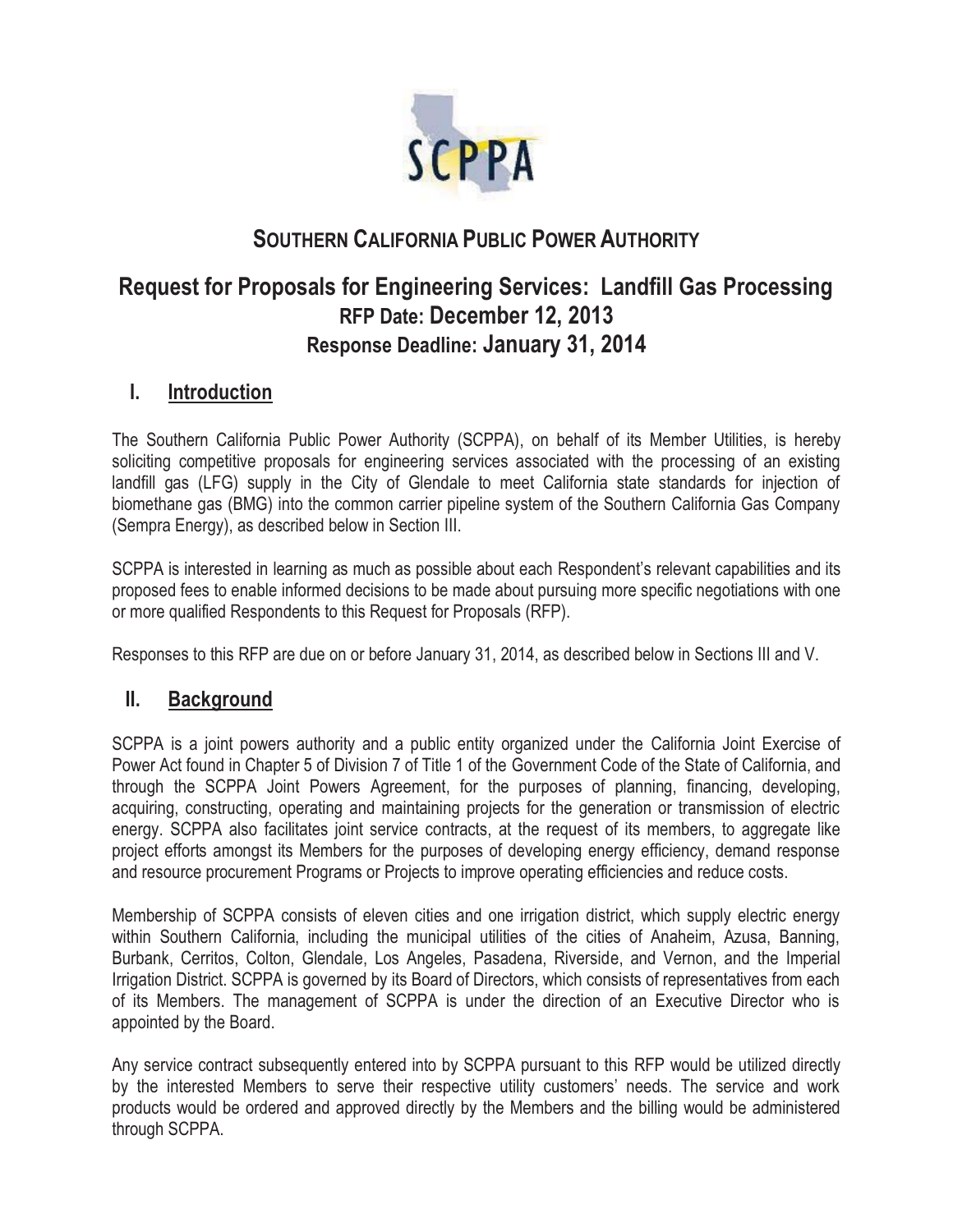

# **SOUTHERN CALIFORNIA PUBLIC POWER AUTHORITY**

# **Request for Proposals for Engineering Services: Landfill Gas Processing RFP Date: December 12, 2013 Response Deadline: January 31, 2014**

# **I. Introduction**

The Southern California Public Power Authority (SCPPA), on behalf of its Member Utilities, is hereby soliciting competitive proposals for engineering services associated with the processing of an existing landfill gas (LFG) supply in the City of Glendale to meet California state standards for injection of biomethane gas (BMG) into the common carrier pipeline system of the Southern California Gas Company (Sempra Energy), as described below in Section III.

SCPPA is interested in learning as much as possible about each Respondent's relevant capabilities and its proposed fees to enable informed decisions to be made about pursuing more specific negotiations with one or more qualified Respondents to this Request for Proposals (RFP).

Responses to this RFP are due on or before January 31, 2014, as described below in Sections III and V.

# **II. Background**

SCPPA is a joint powers authority and a public entity organized under the California Joint Exercise of Power Act found in Chapter 5 of Division 7 of Title 1 of the Government Code of the State of California, and through the SCPPA Joint Powers Agreement, for the purposes of planning, financing, developing, acquiring, constructing, operating and maintaining projects for the generation or transmission of electric energy. SCPPA also facilitates joint service contracts, at the request of its members, to aggregate like project efforts amongst its Members for the purposes of developing energy efficiency, demand response and resource procurement Programs or Projects to improve operating efficiencies and reduce costs.

Membership of SCPPA consists of eleven cities and one irrigation district, which supply electric energy within Southern California, including the municipal utilities of the cities of Anaheim, Azusa, Banning, Burbank, Cerritos, Colton, Glendale, Los Angeles, Pasadena, Riverside, and Vernon, and the Imperial Irrigation District. SCPPA is governed by its Board of Directors, which consists of representatives from each of its Members. The management of SCPPA is under the direction of an Executive Director who is appointed by the Board.

Any service contract subsequently entered into by SCPPA pursuant to this RFP would be utilized directly by the interested Members to serve their respective utility customers' needs. The service and work products would be ordered and approved directly by the Members and the billing would be administered through SCPPA.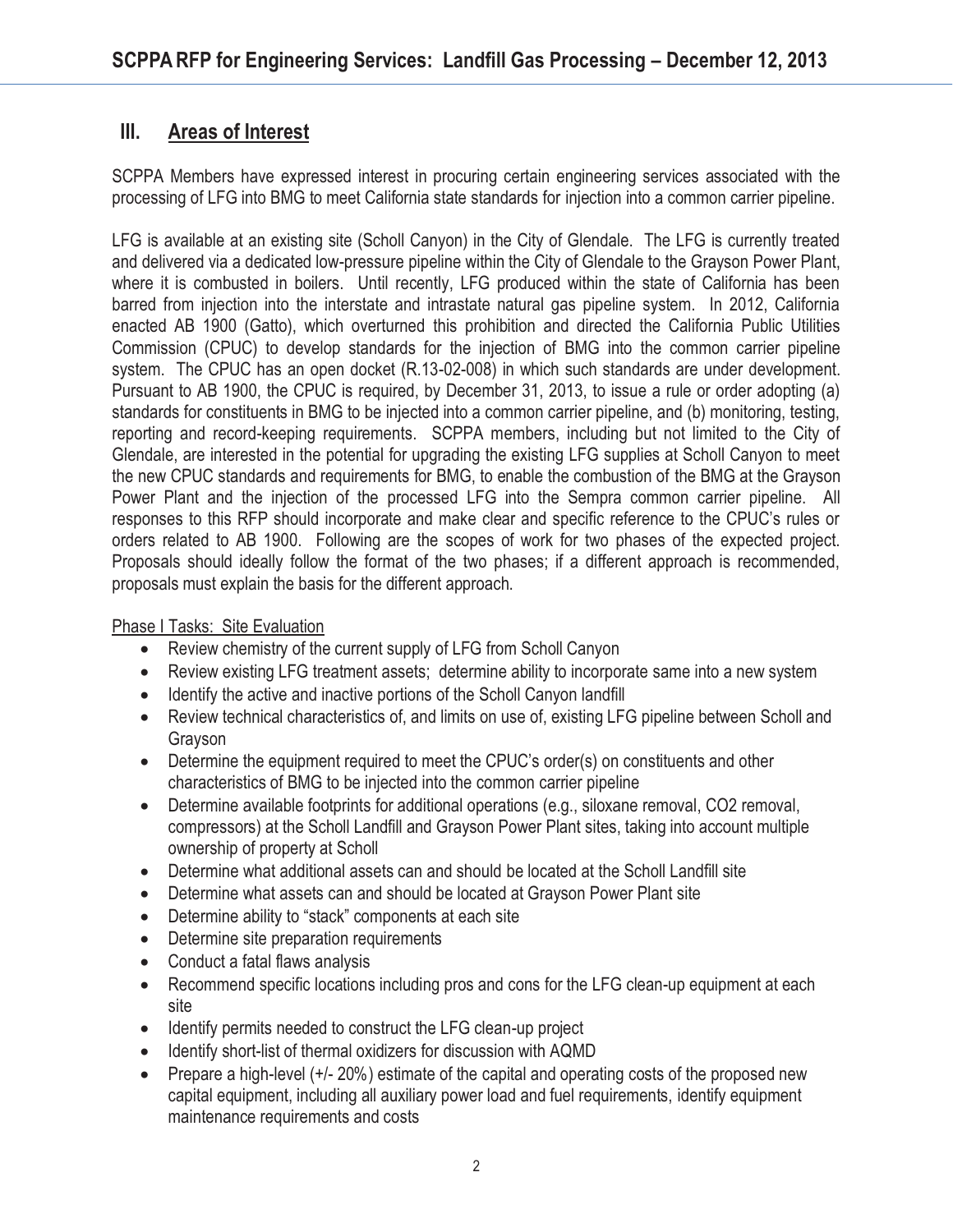# **III. Areas of Interest**

SCPPA Members have expressed interest in procuring certain engineering services associated with the processing of LFG into BMG to meet California state standards for injection into a common carrier pipeline.

LFG is available at an existing site (Scholl Canyon) in the City of Glendale. The LFG is currently treated and delivered via a dedicated low-pressure pipeline within the City of Glendale to the Grayson Power Plant, where it is combusted in boilers. Until recently, LFG produced within the state of California has been barred from injection into the interstate and intrastate natural gas pipeline system. In 2012, California enacted AB 1900 (Gatto), which overturned this prohibition and directed the California Public Utilities Commission (CPUC) to develop standards for the injection of BMG into the common carrier pipeline system. The CPUC has an open docket (R.13-02-008) in which such standards are under development. Pursuant to AB 1900, the CPUC is required, by December 31, 2013, to issue a rule or order adopting (a) standards for constituents in BMG to be injected into a common carrier pipeline, and (b) monitoring, testing, reporting and record-keeping requirements. SCPPA members, including but not limited to the City of Glendale, are interested in the potential for upgrading the existing LFG supplies at Scholl Canyon to meet the new CPUC standards and requirements for BMG, to enable the combustion of the BMG at the Grayson Power Plant and the injection of the processed LFG into the Sempra common carrier pipeline. All responses to this RFP should incorporate and make clear and specific reference to the CPUC's rules or orders related to AB 1900. Following are the scopes of work for two phases of the expected project. Proposals should ideally follow the format of the two phases; if a different approach is recommended, proposals must explain the basis for the different approach.

Phase I Tasks: Site Evaluation

- Review chemistry of the current supply of LFG from Scholl Canyon
- Review existing LFG treatment assets; determine ability to incorporate same into a new system
- Identify the active and inactive portions of the Scholl Canyon landfill
- Review technical characteristics of, and limits on use of, existing LFG pipeline between Scholl and Grayson
- Determine the equipment required to meet the CPUC's order(s) on constituents and other characteristics of BMG to be injected into the common carrier pipeline
- $\bullet$  Determine available footprints for additional operations (e.g., siloxane removal, CO2 removal, compressors) at the Scholl Landfill and Grayson Power Plant sites, taking into account multiple ownership of property at Scholl
- Determine what additional assets can and should be located at the Scholl Landfill site
- Determine what assets can and should be located at Grayson Power Plant site
- Determine ability to "stack" components at each site
- Determine site preparation requirements
- Conduct a fatal flaws analysis
- Recommend specific locations including pros and cons for the LFG clean-up equipment at each site
- Identify permits needed to construct the LFG clean-up project
- Identify short-list of thermal oxidizers for discussion with AQMD
- $\bullet$  Prepare a high-level (+/- 20%) estimate of the capital and operating costs of the proposed new capital equipment, including all auxiliary power load and fuel requirements, identify equipment maintenance requirements and costs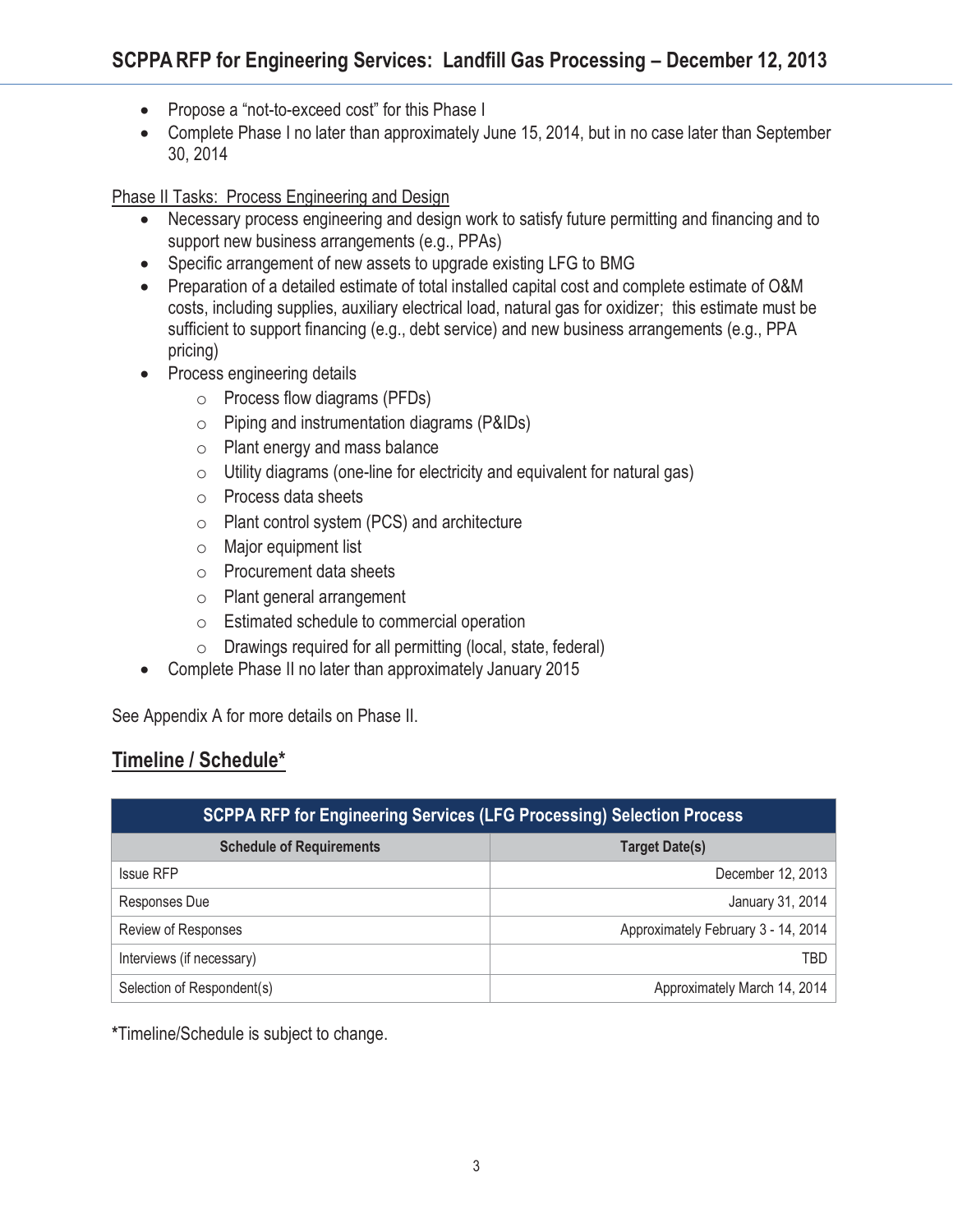- Propose a "not-to-exceed cost" for this Phase I
- Complete Phase I no later than approximately June 15, 2014, but in no case later than September 30, 2014

### Phase II Tasks: Process Engineering and Design

- Necessary process engineering and design work to satisfy future permitting and financing and to support new business arrangements (e.g., PPAs)
- Specific arrangement of new assets to upgrade existing LFG to BMG
- Preparation of a detailed estimate of total installed capital cost and complete estimate of O&M costs, including supplies, auxiliary electrical load, natural gas for oxidizer; this estimate must be sufficient to support financing (e.g., debt service) and new business arrangements (e.g., PPA pricing)
- Process engineering details
	- o Process flow diagrams (PFDs)
	- $\circ$  Piping and instrumentation diagrams (P&IDs)
	- o Plant energy and mass balance
	- $\circ$  Utility diagrams (one-line for electricity and equivalent for natural gas)
	- o Process data sheets
	- o Plant control system (PCS) and architecture
	- o Major equipment list
	- o Procurement data sheets
	- o Plant general arrangement
	- o Estimated schedule to commercial operation
	- o Drawings required for all permitting (local, state, federal)
- Complete Phase II no later than approximately January 2015

See Appendix A for more details on Phase II.

# **Timeline / Schedule\***

| <b>SCPPA RFP for Engineering Services (LFG Processing) Selection Process</b> |                                     |
|------------------------------------------------------------------------------|-------------------------------------|
| <b>Schedule of Requirements</b>                                              | <b>Target Date(s)</b>               |
| <b>Issue RFP</b>                                                             | December 12, 2013                   |
| Responses Due                                                                | January 31, 2014                    |
| <b>Review of Responses</b>                                                   | Approximately February 3 - 14, 2014 |
| Interviews (if necessary)                                                    | TBD                                 |
| Selection of Respondent(s)                                                   | Approximately March 14, 2014        |

**\***Timeline/Schedule is subject to change.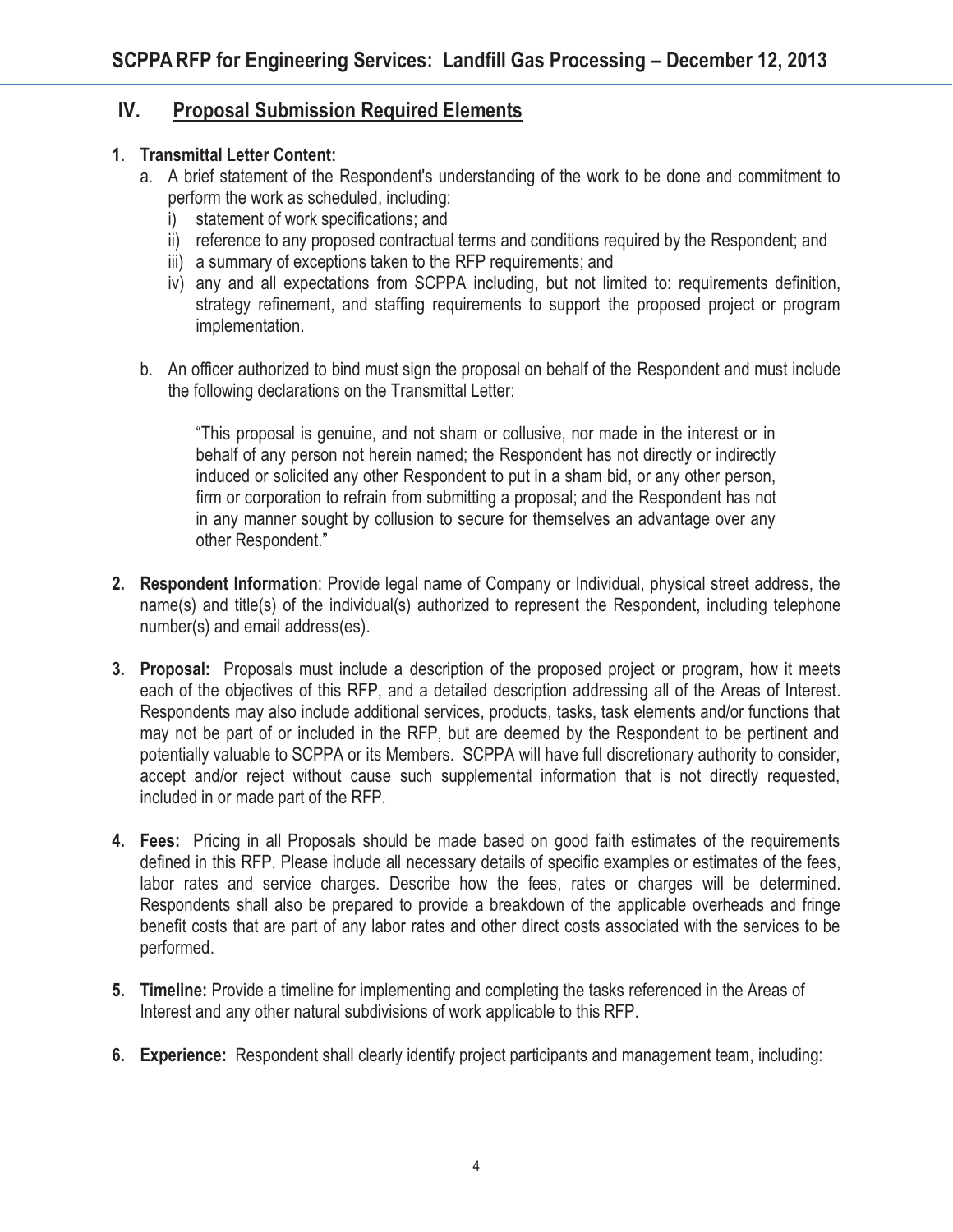### **IV. Proposal Submission Required Elements**

### **1. Transmittal Letter Content:**

- a. A brief statement of the Respondent's understanding of the work to be done and commitment to perform the work as scheduled, including:
	- i) statement of work specifications; and
	- ii) reference to any proposed contractual terms and conditions required by the Respondent; and
	- iii) a summary of exceptions taken to the RFP requirements; and
	- iv) any and all expectations from SCPPA including, but not limited to: requirements definition, strategy refinement, and staffing requirements to support the proposed project or program implementation.
- b. An officer authorized to bind must sign the proposal on behalf of the Respondent and must include the following declarations on the Transmittal Letter:

"This proposal is genuine, and not sham or collusive, nor made in the interest or in behalf of any person not herein named; the Respondent has not directly or indirectly induced or solicited any other Respondent to put in a sham bid, or any other person, firm or corporation to refrain from submitting a proposal; and the Respondent has not in any manner sought by collusion to secure for themselves an advantage over any other Respondent."

- **2. Respondent Information**: Provide legal name of Company or Individual, physical street address, the name(s) and title(s) of the individual(s) authorized to represent the Respondent, including telephone number(s) and email address(es).
- **3. Proposal:** Proposals must include a description of the proposed project or program, how it meets each of the objectives of this RFP, and a detailed description addressing all of the Areas of Interest. Respondents may also include additional services, products, tasks, task elements and/or functions that may not be part of or included in the RFP, but are deemed by the Respondent to be pertinent and potentially valuable to SCPPA or its Members. SCPPA will have full discretionary authority to consider, accept and/or reject without cause such supplemental information that is not directly requested, included in or made part of the RFP.
- **4. Fees:** Pricing in all Proposals should be made based on good faith estimates of the requirements defined in this RFP. Please include all necessary details of specific examples or estimates of the fees, labor rates and service charges. Describe how the fees, rates or charges will be determined. Respondents shall also be prepared to provide a breakdown of the applicable overheads and fringe benefit costs that are part of any labor rates and other direct costs associated with the services to be performed.
- **5. Timeline:** Provide a timeline for implementing and completing the tasks referenced in the Areas of Interest and any other natural subdivisions of work applicable to this RFP.
- **6. Experience:** Respondent shall clearly identify project participants and management team, including: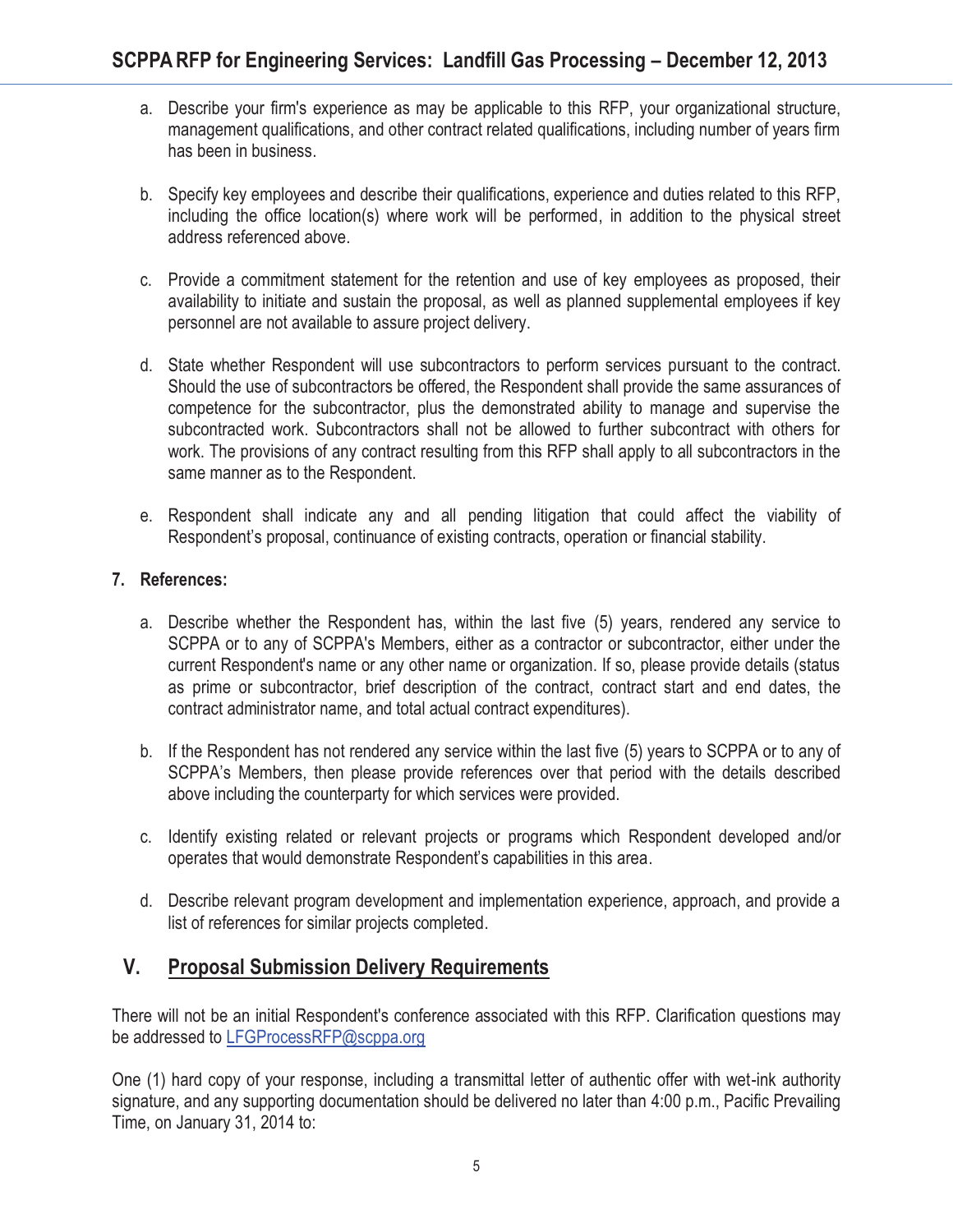- a. Describe your firm's experience as may be applicable to this RFP, your organizational structure, management qualifications, and other contract related qualifications, including number of years firm has been in business.
- b. Specify key employees and describe their qualifications, experience and duties related to this RFP, including the office location(s) where work will be performed, in addition to the physical street address referenced above.
- c. Provide a commitment statement for the retention and use of key employees as proposed, their availability to initiate and sustain the proposal, as well as planned supplemental employees if key personnel are not available to assure project delivery.
- d. State whether Respondent will use subcontractors to perform services pursuant to the contract. Should the use of subcontractors be offered, the Respondent shall provide the same assurances of competence for the subcontractor, plus the demonstrated ability to manage and supervise the subcontracted work. Subcontractors shall not be allowed to further subcontract with others for work. The provisions of any contract resulting from this RFP shall apply to all subcontractors in the same manner as to the Respondent.
- e. Respondent shall indicate any and all pending litigation that could affect the viability of Respondent's proposal, continuance of existing contracts, operation or financial stability.

### **7. References:**

- a. Describe whether the Respondent has, within the last five (5) years, rendered any service to SCPPA or to any of SCPPA's Members, either as a contractor or subcontractor, either under the current Respondent's name or any other name or organization. If so, please provide details (status as prime or subcontractor, brief description of the contract, contract start and end dates, the contract administrator name, and total actual contract expenditures).
- b. If the Respondent has not rendered any service within the last five (5) years to SCPPA or to any of SCPPA's Members, then please provide references over that period with the details described above including the counterparty for which services were provided.
- c. Identify existing related or relevant projects or programs which Respondent developed and/or operates that would demonstrate Respondent's capabilities in this area.
- d. Describe relevant program development and implementation experience, approach, and provide a list of references for similar projects completed.

# **V. Proposal Submission Delivery Requirements**

There will not be an initial Respondent's conference associated with this RFP. Clarification questions may be addressed to LFGProcessRFP@scppa.org

One (1) hard copy of your response, including a transmittal letter of authentic offer with wet-ink authority signature, and any supporting documentation should be delivered no later than 4:00 p.m., Pacific Prevailing Time, on January 31, 2014 to: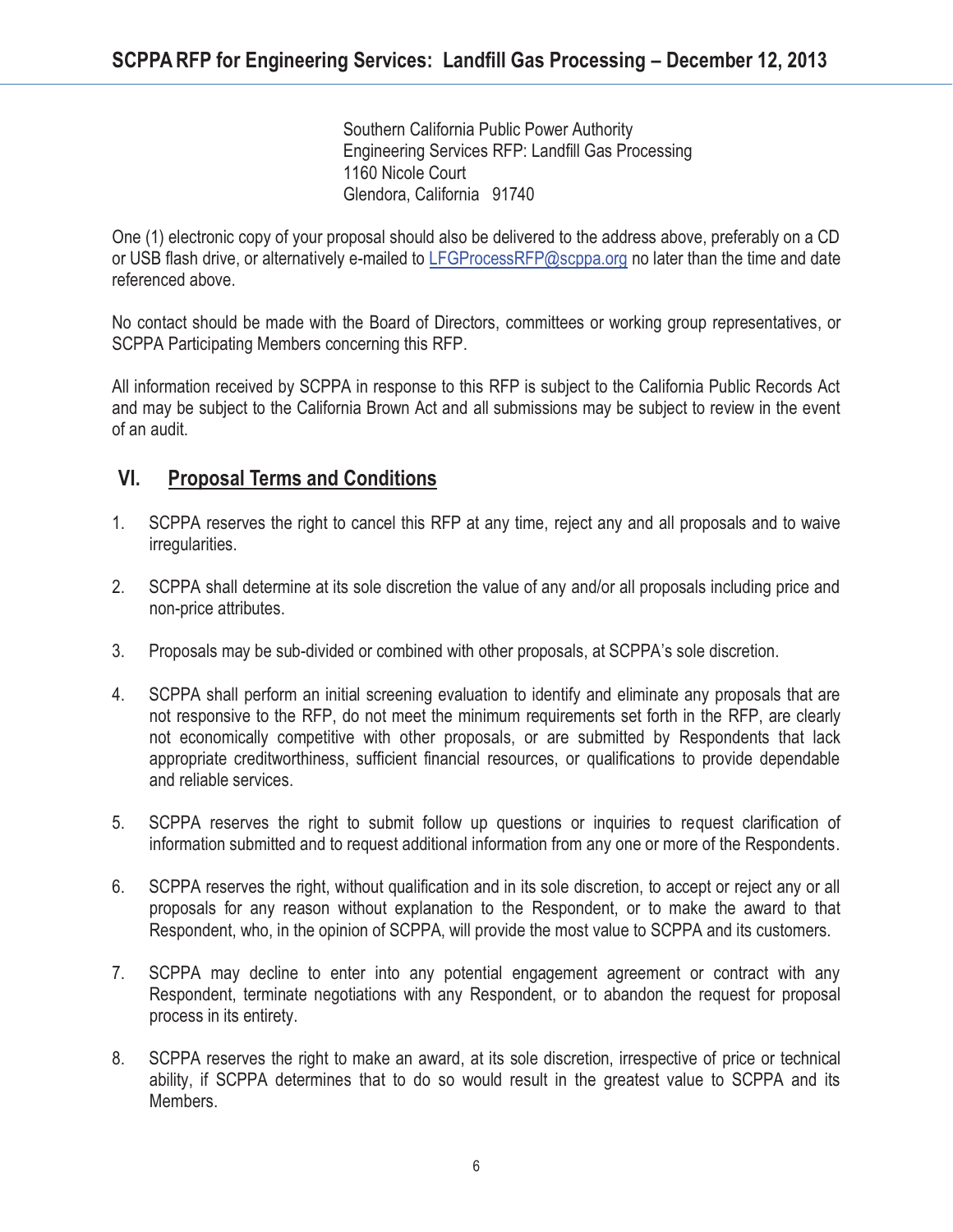Southern California Public Power Authority Engineering Services RFP: Landfill Gas Processing 1160 Nicole Court Glendora, California 91740

One (1) electronic copy of your proposal should also be delivered to the address above, preferably on a CD or USB flash drive, or alternatively e-mailed to LFGProcessRFP@scppa.org no later than the time and date referenced above.

No contact should be made with the Board of Directors, committees or working group representatives, or SCPPA Participating Members concerning this RFP.

All information received by SCPPA in response to this RFP is subject to the California Public Records Act and may be subject to the California Brown Act and all submissions may be subject to review in the event of an audit.

### **VI. Proposal Terms and Conditions**

- 1. SCPPA reserves the right to cancel this RFP at any time, reject any and all proposals and to waive irregularities.
- 2. SCPPA shall determine at its sole discretion the value of any and/or all proposals including price and non-price attributes.
- 3. Proposals may be sub-divided or combined with other proposals, at SCPPA's sole discretion.
- 4. SCPPA shall perform an initial screening evaluation to identify and eliminate any proposals that are not responsive to the RFP, do not meet the minimum requirements set forth in the RFP, are clearly not economically competitive with other proposals, or are submitted by Respondents that lack appropriate creditworthiness, sufficient financial resources, or qualifications to provide dependable and reliable services.
- 5. SCPPA reserves the right to submit follow up questions or inquiries to request clarification of information submitted and to request additional information from any one or more of the Respondents.
- 6. SCPPA reserves the right, without qualification and in its sole discretion, to accept or reject any or all proposals for any reason without explanation to the Respondent, or to make the award to that Respondent, who, in the opinion of SCPPA, will provide the most value to SCPPA and its customers.
- 7. SCPPA may decline to enter into any potential engagement agreement or contract with any Respondent, terminate negotiations with any Respondent, or to abandon the request for proposal process in its entirety.
- 8. SCPPA reserves the right to make an award, at its sole discretion, irrespective of price or technical ability, if SCPPA determines that to do so would result in the greatest value to SCPPA and its Members.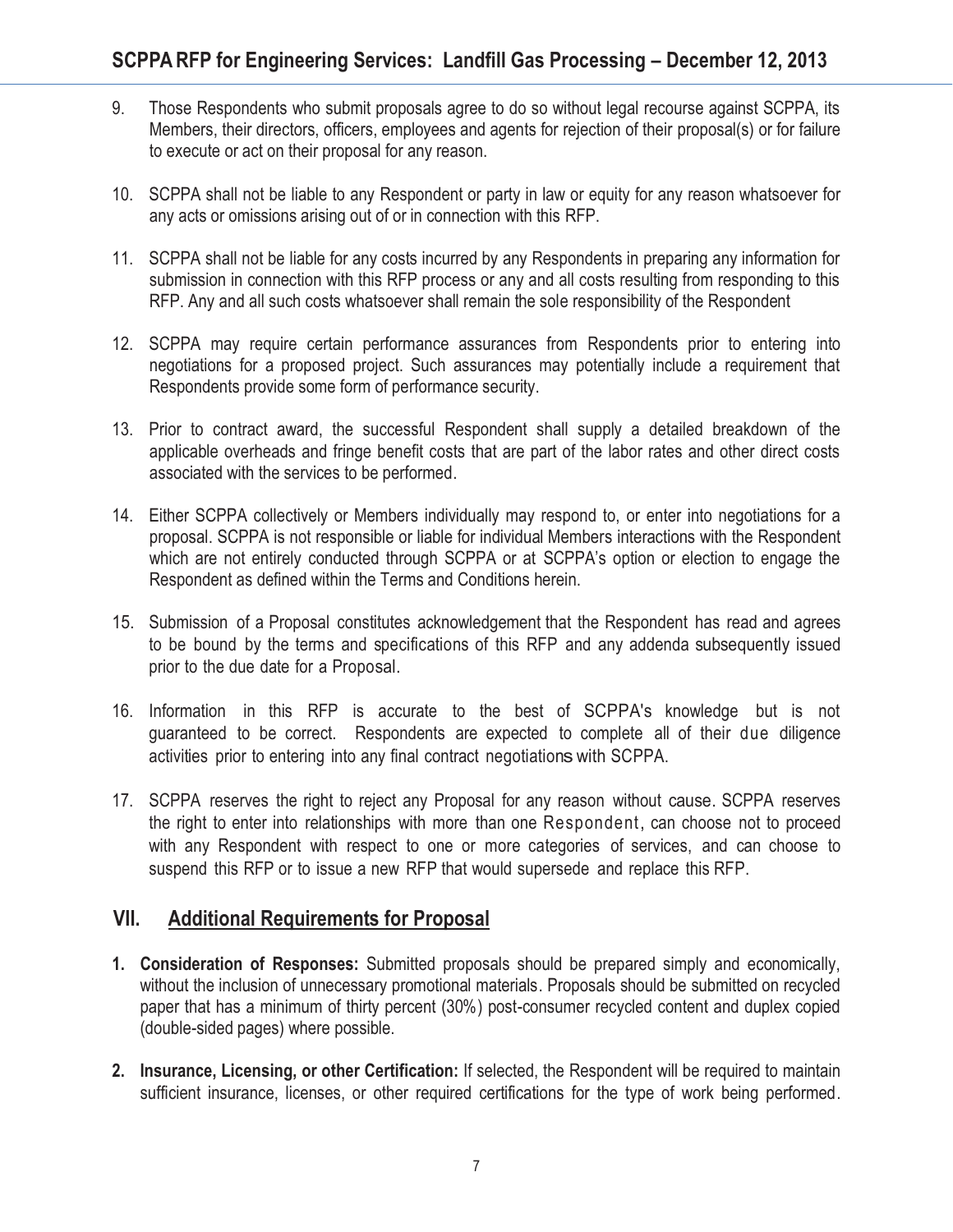- 9. Those Respondents who submit proposals agree to do so without legal recourse against SCPPA, its Members, their directors, officers, employees and agents for rejection of their proposal(s) or for failure to execute or act on their proposal for any reason.
- 10. SCPPA shall not be liable to any Respondent or party in law or equity for any reason whatsoever for any acts or omissions arising out of or in connection with this RFP.
- 11. SCPPA shall not be liable for any costs incurred by any Respondents in preparing any information for submission in connection with this RFP process or any and all costs resulting from responding to this RFP. Any and all such costs whatsoever shall remain the sole responsibility of the Respondent
- 12. SCPPA may require certain performance assurances from Respondents prior to entering into negotiations for a proposed project. Such assurances may potentially include a requirement that Respondents provide some form of performance security.
- 13. Prior to contract award, the successful Respondent shall supply a detailed breakdown of the applicable overheads and fringe benefit costs that are part of the labor rates and other direct costs associated with the services to be performed.
- 14. Either SCPPA collectively or Members individually may respond to, or enter into negotiations for a proposal. SCPPA is not responsible or liable for individual Members interactions with the Respondent which are not entirely conducted through SCPPA or at SCPPA's option or election to engage the Respondent as defined within the Terms and Conditions herein.
- 15. Submission of a Proposal constitutes acknowledgement that the Respondent has read and agrees to be bound by the terms and specifications of this RFP and any addenda subsequently issued prior to the due date for a Proposal.
- 16. Information in this RFP is accurate to the best of SCPPA's knowledge but is not guaranteed to be correct. Respondents are expected to complete all of their due diligence activities prior to entering into any final contract negotiationswith SCPPA.
- 17. SCPPA reserves the right to reject any Proposal for any reason without cause. SCPPA reserves the right to enter into relationships with more than one Respondent, can choose not to proceed with any Respondent with respect to one or more categories of services, and can choose to suspend this RFP or to issue a new RFP that would supersede and replace this RFP.

### **VII. Additional Requirements for Proposal**

- **1. Consideration of Responses:** Submitted proposals should be prepared simply and economically, without the inclusion of unnecessary promotional materials. Proposals should be submitted on recycled paper that has a minimum of thirty percent (30%) post-consumer recycled content and duplex copied (double-sided pages) where possible.
- **2. Insurance, Licensing, or other Certification:** If selected, the Respondent will be required to maintain sufficient insurance, licenses, or other required certifications for the type of work being performed.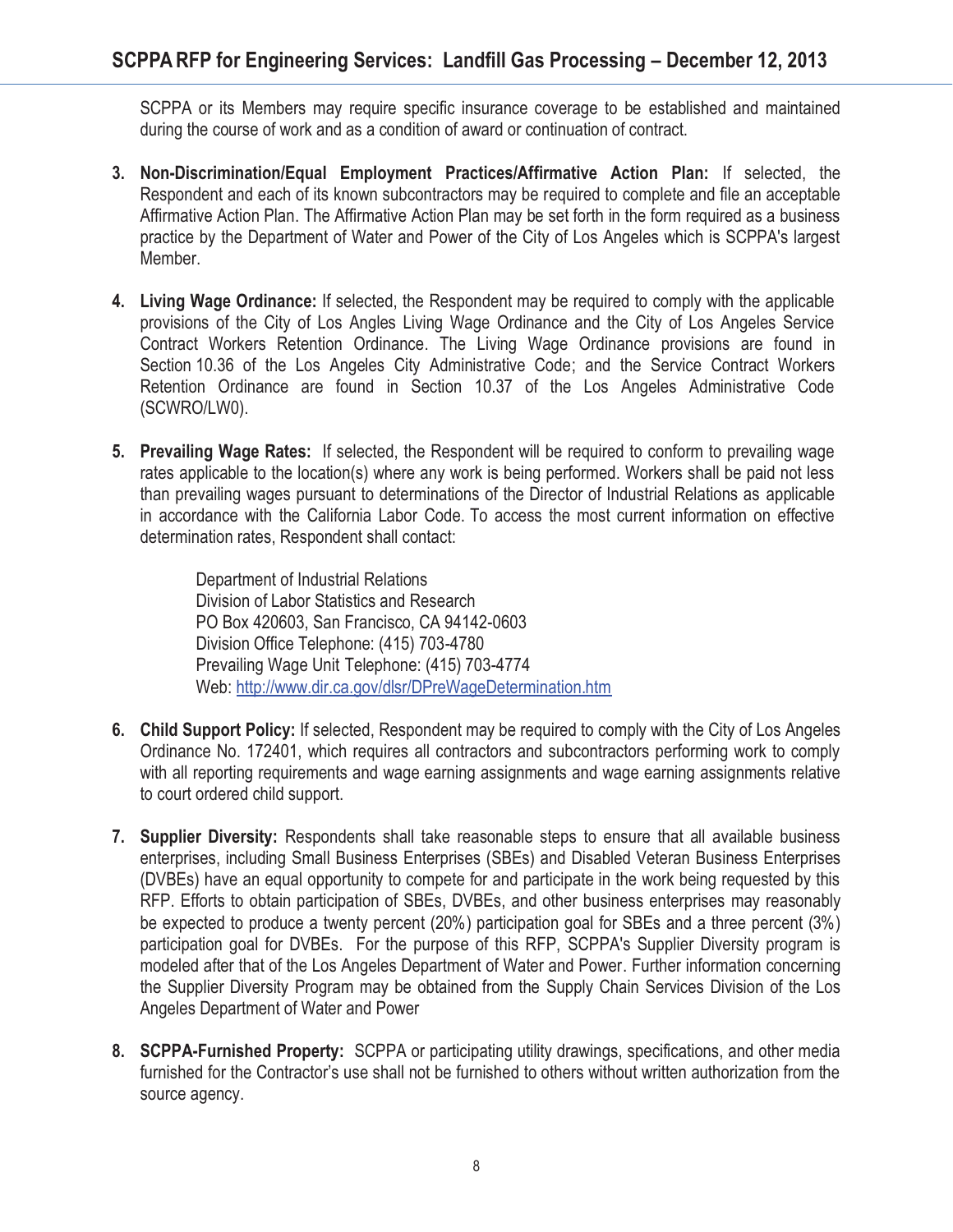SCPPA or its Members may require specific insurance coverage to be established and maintained during the course of work and as a condition of award or continuation of contract.

- **3. Non-Discrimination/Equal Employment Practices/Affirmative Action Plan:** If selected, the Respondent and each of its known subcontractors may be required to complete and file an acceptable Affirmative Action Plan. The Affirmative Action Plan may be set forth in the form required as a business practice by the Department of Water and Power of the City of Los Angeles which is SCPPA's largest Member.
- **4. Living Wage Ordinance:** If selected, the Respondent may be required to comply with the applicable provisions of the City of Los Angles Living Wage Ordinance and the City of Los Angeles Service Contract Workers Retention Ordinance. The Living Wage Ordinance provisions are found in Section 10.36 of the Los Angeles City Administrative Code; and the Service Contract Workers Retention Ordinance are found in Section 10.37 of the Los Angeles Administrative Code (SCWRO/LW0).
- **5. Prevailing Wage Rates:** If selected, the Respondent will be required to conform to prevailing wage rates applicable to the location(s) where any work is being performed. Workers shall be paid not less than prevailing wages pursuant to determinations of the Director of Industrial Relations as applicable in accordance with the California Labor Code. To access the most current information on effective determination rates, Respondent shall contact:

Department of Industrial Relations Division of Labor Statistics and Research PO Box 420603, San Francisco, CA 94142-0603 Division Office Telephone: (415) 703-4780 Prevailing Wage Unit Telephone: (415) 703-4774 Web: http://www.dir.ca.gov/dlsr/DPreWageDetermination.htm

- **6. Child Support Policy:** If selected, Respondent may be required to comply with the City of Los Angeles Ordinance No. 172401, which requires all contractors and subcontractors performing work to comply with all reporting requirements and wage earning assignments and wage earning assignments relative to court ordered child support.
- **7. Supplier Diversity:** Respondents shall take reasonable steps to ensure that all available business enterprises, including Small Business Enterprises (SBEs) and Disabled Veteran Business Enterprises (DVBEs) have an equal opportunity to compete for and participate in the work being requested by this RFP. Efforts to obtain participation of SBEs, DVBEs, and other business enterprises may reasonably be expected to produce a twenty percent (20%) participation goal for SBEs and a three percent (3%) participation goal for DVBEs. For the purpose of this RFP, SCPPA's Supplier Diversity program is modeled after that of the Los Angeles Department of Water and Power. Further information concerning the Supplier Diversity Program may be obtained from the Supply Chain Services Division of the Los Angeles Department of Water and Power
- **8. SCPPA-Furnished Property:** SCPPA or participating utility drawings, specifications, and other media furnished for the Contractor's use shall not be furnished to others without written authorization from the source agency.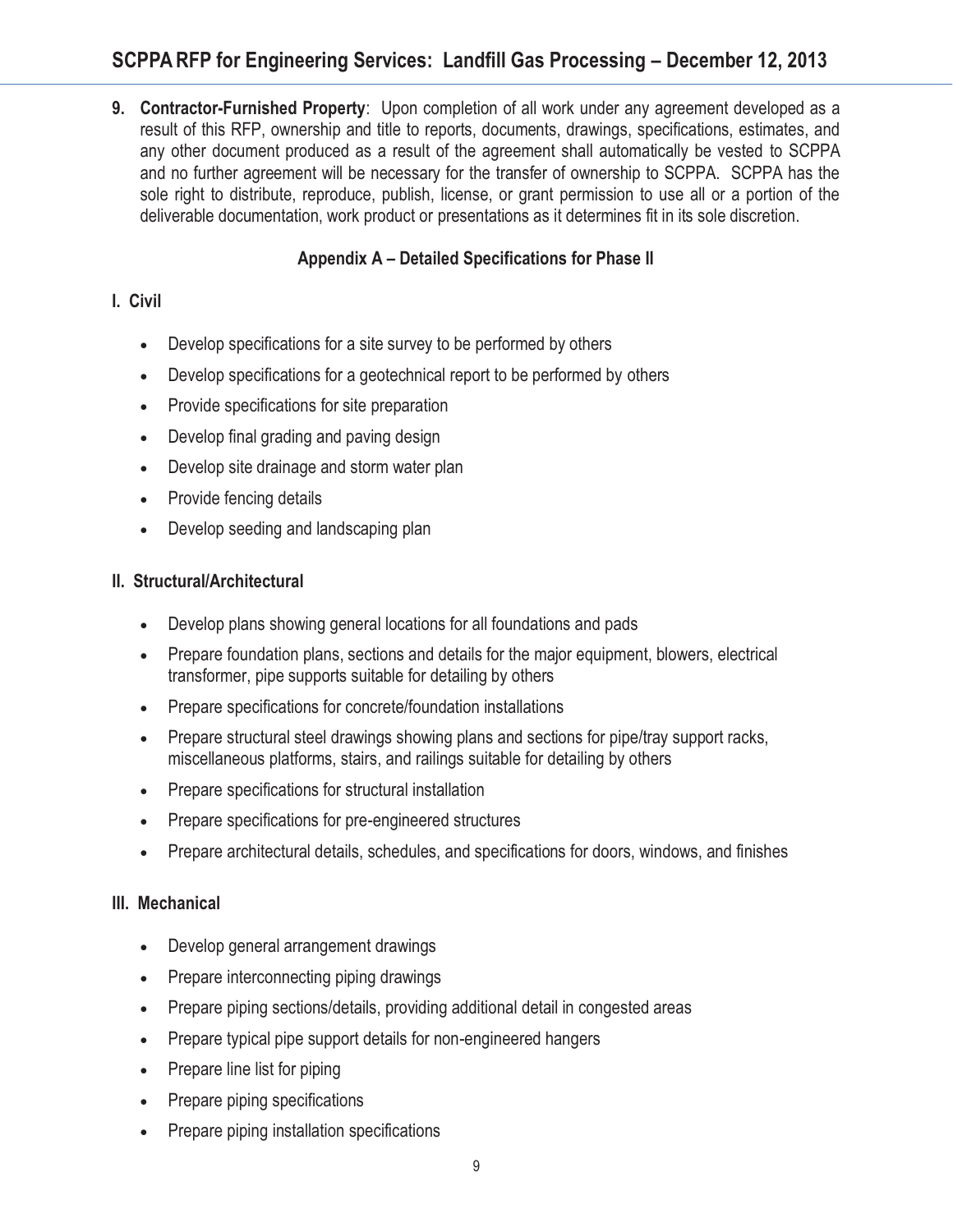# **SCPPARFP for Engineering Services: Landfill Gas Processing – December 12, 2013**

**9. Contractor-Furnished Property**: Upon completion of all work under any agreement developed as a result of this RFP, ownership and title to reports, documents, drawings, specifications, estimates, and any other document produced as a result of the agreement shall automatically be vested to SCPPA and no further agreement will be necessary for the transfer of ownership to SCPPA. SCPPA has the sole right to distribute, reproduce, publish, license, or grant permission to use all or a portion of the deliverable documentation, work product or presentations as it determines fit in its sole discretion.

### **Appendix A – Detailed Specifications for Phase II**

### **I. Civil**

- $\bullet$ Develop specifications for a site survey to be performed by others
- $\bullet$ Develop specifications for a geotechnical report to be performed by others
- $\bullet$ Provide specifications for site preparation
- $\bullet$ Develop final grading and paving design
- $\bullet$ Develop site drainage and storm water plan
- Provide fencing details
- $\bullet$ Develop seeding and landscaping plan

### **II. Structural/Architectural**

- Develop plans showing general locations for all foundations and pads
- Prepare foundation plans, sections and details for the major equipment, blowers, electrical transformer, pipe supports suitable for detailing by others
- Prepare specifications for concrete/foundation installations
- - Prepare structural steel drawings showing plans and sections for pipe/tray support racks, miscellaneous platforms, stairs, and railings suitable for detailing by others
- $\bullet$ Prepare specifications for structural installation
- $\bullet$ Prepare specifications for pre-engineered structures
- $\bullet$ Prepare architectural details, schedules, and specifications for doors, windows, and finishes

### **III. Mechanical**

- -Develop general arrangement drawings
- $\bullet$ Prepare interconnecting piping drawings
- $\bullet$ Prepare piping sections/details, providing additional detail in congested areas
- $\bullet$ Prepare typical pipe support details for non-engineered hangers
- $\bullet$ Prepare line list for piping
- $\bullet$ Prepare piping specifications
- $\bullet$ Prepare piping installation specifications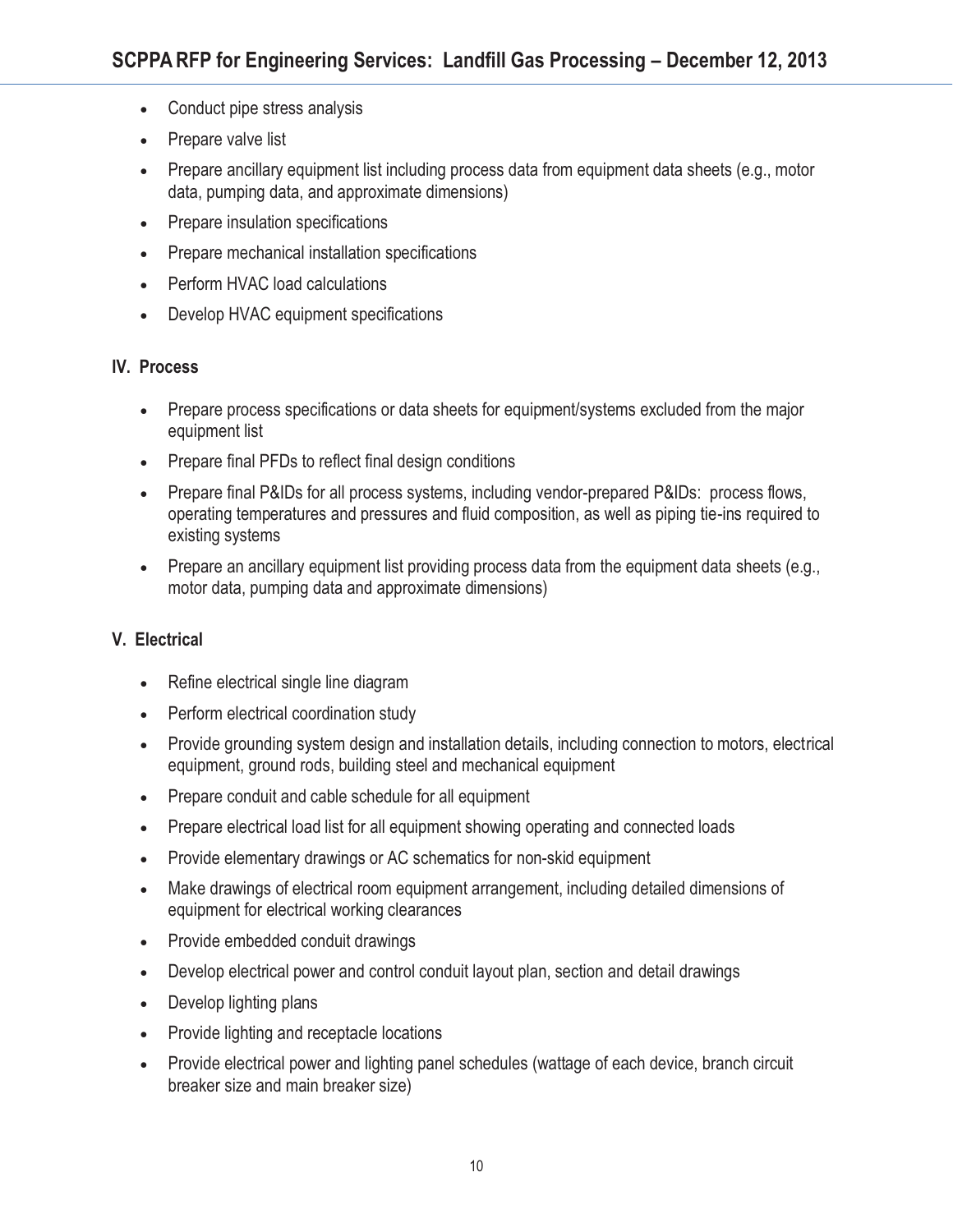- $\bullet$ Conduct pipe stress analysis
- -Prepare valve list
- $\bullet$  Prepare ancillary equipment list including process data from equipment data sheets (e.g., motor data, pumping data, and approximate dimensions)
- $\bullet$ Prepare insulation specifications
- $\bullet$ Prepare mechanical installation specifications
- $\bullet$ Perform HVAC load calculations
- -Develop HVAC equipment specifications

### **IV. Process**

- - Prepare process specifications or data sheets for equipment/systems excluded from the major equipment list
- Prepare final PFDs to reflect final design conditions
- - Prepare final P&IDs for all process systems, including vendor-prepared P&IDs: process flows, operating temperatures and pressures and fluid composition, as well as piping tie-ins required to existing systems
- Prepare an ancillary equipment list providing process data from the equipment data sheets (e.g., motor data, pumping data and approximate dimensions)

### **V. Electrical**

- Refine electrical single line diagram
- $\bullet$ Perform electrical coordination study
- $\bullet$  Provide grounding system design and installation details, including connection to motors, electrical equipment, ground rods, building steel and mechanical equipment
- $\bullet$ Prepare conduit and cable schedule for all equipment
- $\bullet$ Prepare electrical load list for all equipment showing operating and connected loads
- $\bullet$ Provide elementary drawings or AC schematics for non-skid equipment
- $\bullet$  Make drawings of electrical room equipment arrangement, including detailed dimensions of equipment for electrical working clearances
- $\bullet$ Provide embedded conduit drawings
- $\bullet$ Develop electrical power and control conduit layout plan, section and detail drawings
- $\bullet$ Develop lighting plans
- $\bullet$ Provide lighting and receptacle locations
- - Provide electrical power and lighting panel schedules (wattage of each device, branch circuit breaker size and main breaker size)